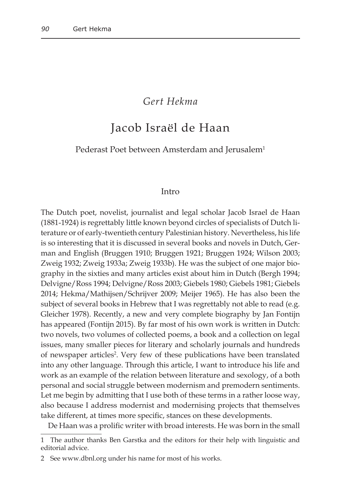## *Gert Hekma*

# Jacob Israël de Haan

Pederast Poet between Amsterdam and Jerusalem<sup>1</sup>

#### Intro

The Dutch poet, novelist, journalist and legal scholar Jacob Israel de Haan (1881-1924) is regrettably little known beyond circles of specialists of Dutch literature or of early-twentieth century Palestinian history. Nevertheless, his life is so interesting that it is discussed in several books and novels in Dutch, German and English (Bruggen 1910; Bruggen 1921; Bruggen 1924; Wilson 2003; Zweig 1932; Zweig 1933a; Zweig 1933b). He was the subject of one major biography in the sixties and many articles exist about him in Dutch (Bergh 1994; Delvigne/Ross 1994; Delvigne/Ross 2003; Giebels 1980; Giebels 1981; Giebels 2014; Hekma/Mathijsen/Schrijver 2009; Meijer 1965). He has also been the subject of several books in Hebrew that I was regrettably not able to read (e.g. Gleicher 1978). Recently, a new and very complete biography by Jan Fontijn has appeared (Fontijn 2015). By far most of his own work is written in Dutch: two novels, two volumes of collected poems, a book and a collection on legal issues, many smaller pieces for literary and scholarly journals and hundreds of newspaper articles<sup>2</sup>. Very few of these publications have been translated into any other language. Through this article, I want to introduce his life and work as an example of the relation between literature and sexology, of a both personal and social struggle between modernism and premodern sentiments. Let me begin by admitting that I use both of these terms in a rather loose way, also because I address modernist and modernising projects that themselves take different, at times more specific, stances on these developments.

De Haan was a prolific writer with broad interests. He was born in the small

<sup>1</sup> The author thanks Ben Garstka and the editors for their help with linguistic and editorial advice.

<sup>2</sup> See www.dbnl.org under his name for most of his works.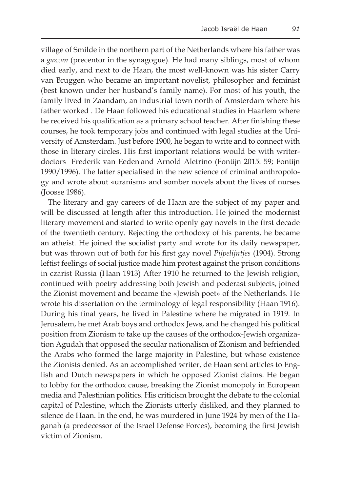village of Smilde in the northern part of the Netherlands where his father was a *gazzan* (precentor in the synagogue). He had many siblings, most of whom died early, and next to de Haan, the most well-known was his sister Carry van Bruggen who became an important novelist, philosopher and feminist (best known under her husband's family name). For most of his youth, the family lived in Zaandam, an industrial town north of Amsterdam where his father worked . De Haan followed his educational studies in Haarlem where he received his qualification as a primary school teacher. After finishing these courses, he took temporary jobs and continued with legal studies at the University of Amsterdam. Just before 1900, he began to write and to connect with those in literary circles. His first important relations would be with writerdoctors Frederik van Eeden and Arnold Aletrino (Fontijn 2015: 59; Fontijn 1990/1996). The latter specialised in the new science of criminal anthropology and wrote about «uranism» and somber novels about the lives of nurses (Joosse 1986).

The literary and gay careers of de Haan are the subject of my paper and will be discussed at length after this introduction. He joined the modernist literary movement and started to write openly gay novels in the first decade of the twentieth century. Rejecting the orthodoxy of his parents, he became an atheist. He joined the socialist party and wrote for its daily newspaper, but was thrown out of both for his first gay novel *Pijpelijntjes* (1904). Strong leftist feelings of social justice made him protest against the prison conditions in czarist Russia (Haan 1913) After 1910 he returned to the Jewish religion, continued with poetry addressing both Jewish and pederast subjects, joined the Zionist movement and became the «Jewish poet» of the Netherlands. He wrote his dissertation on the terminology of legal responsibility (Haan 1916). During his final years, he lived in Palestine where he migrated in 1919. In Jerusalem, he met Arab boys and orthodox Jews, and he changed his political position from Zionism to take up the causes of the orthodox-Jewish organization Agudah that opposed the secular nationalism of Zionism and befriended the Arabs who formed the large majority in Palestine, but whose existence the Zionists denied. As an accomplished writer, de Haan sent articles to English and Dutch newspapers in which he opposed Zionist claims. He began to lobby for the orthodox cause, breaking the Zionist monopoly in European media and Palestinian politics. His criticism brought the debate to the colonial capital of Palestine, which the Zionists utterly disliked, and they planned to silence de Haan. In the end, he was murdered in June 1924 by men of the Haganah (a predecessor of the Israel Defense Forces), becoming the first Jewish victim of Zionism.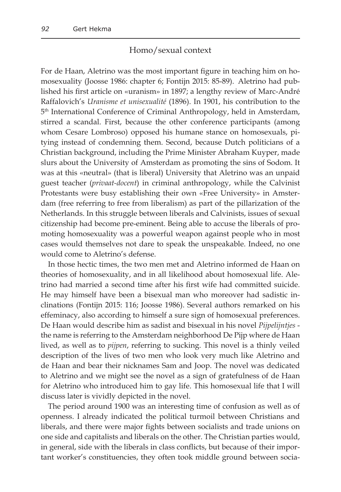#### Homo/sexual context

For de Haan, Aletrino was the most important figure in teaching him on homosexuality (Joosse 1986: chapter 6; Fontijn 2015: 85-89). Aletrino had published his first article on «uranism» in 1897; a lengthy review of Marc-André Raffalovich's *Uranisme et unisexualité* (1896). In 1901, his contribution to the 5th International Conference of Criminal Anthropology, held in Amsterdam, stirred a scandal. First, because the other conference participants (among whom Cesare Lombroso) opposed his humane stance on homosexuals, pitying instead of condemning them. Second, because Dutch politicians of a Christian background, including the Prime Minister Abraham Kuyper, made slurs about the University of Amsterdam as promoting the sins of Sodom. It was at this «neutral» (that is liberal) University that Aletrino was an unpaid guest teacher (*privaat-docent*) in criminal anthropology, while the Calvinist Protestants were busy establishing their own «Free University» in Amsterdam (free referring to free from liberalism) as part of the pillarization of the Netherlands. In this struggle between liberals and Calvinists, issues of sexual citizenship had become pre-eminent. Being able to accuse the liberals of promoting homosexuality was a powerful weapon against people who in most cases would themselves not dare to speak the unspeakable. Indeed, no one would come to Aletrino's defense.

In those hectic times, the two men met and Aletrino informed de Haan on theories of homosexuality, and in all likelihood about homosexual life. Aletrino had married a second time after his first wife had committed suicide. He may himself have been a bisexual man who moreover had sadistic inclinations (Fontijn 2015: 116; Joosse 1986). Several authors remarked on his effeminacy, also according to himself a sure sign of homosexual preferences. De Haan would describe him as sadist and bisexual in his novel *Pijpelijntjes* the name is referring to the Amsterdam neighborhood De Pijp where de Haan lived, as well as to *pijpen*, referring to sucking. This novel is a thinly veiled description of the lives of two men who look very much like Aletrino and de Haan and bear their nicknames Sam and Joop. The novel was dedicated to Aletrino and we might see the novel as a sign of gratefulness of de Haan for Aletrino who introduced him to gay life. This homosexual life that I will discuss later is vividly depicted in the novel.

The period around 1900 was an interesting time of confusion as well as of openness. I already indicated the political turmoil between Christians and liberals, and there were major fights between socialists and trade unions on one side and capitalists and liberals on the other. The Christian parties would, in general, side with the liberals in class conflicts, but because of their important worker's constituencies, they often took middle ground between socia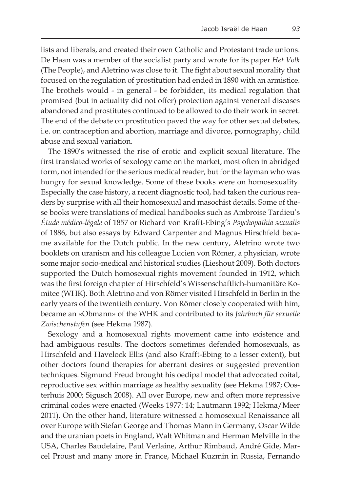lists and liberals, and created their own Catholic and Protestant trade unions. De Haan was a member of the socialist party and wrote for its paper *Het Volk* (The People), and Aletrino was close to it. The fight about sexual morality that focused on the regulation of prostitution had ended in 1890 with an armistice. The brothels would - in general - be forbidden, its medical regulation that promised (but in actuality did not offer) protection against venereal diseases abandoned and prostitutes continued to be allowed to do their work in secret. The end of the debate on prostitution paved the way for other sexual debates, i.e. on contraception and abortion, marriage and divorce, pornography, child abuse and sexual variation.

The 1890's witnessed the rise of erotic and explicit sexual literature. The first translated works of sexology came on the market, most often in abridged form, not intended for the serious medical reader, but for the layman who was hungry for sexual knowledge. Some of these books were on homosexuality. Especially the case history, a recent diagnostic tool, had taken the curious readers by surprise with all their homosexual and masochist details. Some of these books were translations of medical handbooks such as Ambroise Tardieu's *Étude médico-légale* of 1857 or Richard von Krafft-Ebing's *Psychopathia sexualis* of 1886, but also essays by Edward Carpenter and Magnus Hirschfeld became available for the Dutch public. In the new century, Aletrino wrote two booklets on uranism and his colleague Lucien von Römer, a physician, wrote some major socio-medical and historical studies (Lieshout 2009). Both doctors supported the Dutch homosexual rights movement founded in 1912, which was the first foreign chapter of Hirschfeld's Wissenschaftlich-humanitäre Komitee (WHK). Both Aletrino and von Römer visited Hirschfeld in Berlin in the early years of the twentieth century. Von Römer closely cooperated with him, became an «Obmann» of the WHK and contributed to its *Jahrbuch für sexuelle Zwischenstufen* (see Hekma 1987).

Sexology and a homosexual rights movement came into existence and had ambiguous results. The doctors sometimes defended homosexuals, as Hirschfeld and Havelock Ellis (and also Krafft-Ebing to a lesser extent), but other doctors found therapies for aberrant desires or suggested prevention techniques. Sigmund Freud brought his oedipal model that advocated coital, reproductive sex within marriage as healthy sexuality (see Hekma 1987; Oosterhuis 2000; Sigusch 2008). All over Europe, new and often more repressive criminal codes were enacted (Weeks 1977: 14; Lautmann 1992; Hekma/Meer 2011). On the other hand, literature witnessed a homosexual Renaissance all over Europe with Stefan George and Thomas Mann in Germany, Oscar Wilde and the uranian poets in England, Walt Whitman and Herman Melville in the USA, Charles Baudelaire, Paul Verlaine, Arthur Rimbaud, André Gide, Marcel Proust and many more in France, Michael Kuzmin in Russia, Fernando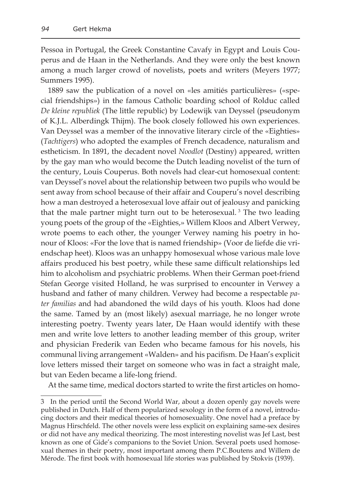Pessoa in Portugal, the Greek Constantine Cavafy in Egypt and Louis Couperus and de Haan in the Netherlands. And they were only the best known among a much larger crowd of novelists, poets and writers (Meyers 1977; Summers 1995).

1889 saw the publication of a novel on «les amitiés particulières» («special friendships») in the famous Catholic boarding school of Rolduc called *De kleine republiek* (The little republic) by Lodewijk van Deyssel (pseudonym of K.J.L. Alberdingk Thijm). The book closely followed his own experiences. Van Deyssel was a member of the innovative literary circle of the «Eighties» (*Tachtigers*) who adopted the examples of French decadence, naturalism and estheticism. In 1891, the decadent novel *Noodlot* (Destiny) appeared, written by the gay man who would become the Dutch leading novelist of the turn of the century, Louis Couperus. Both novels had clear-cut homosexual content: van Deyssel's novel about the relationship between two pupils who would be sent away from school because of their affair and Couperu's novel describing how a man destroyed a heterosexual love affair out of jealousy and panicking that the male partner might turn out to be heterosexual.<sup>3</sup> The two leading young poets of the group of the «Eighties,» Willem Kloos and Albert Verwey, wrote poems to each other, the younger Verwey naming his poetry in honour of Kloos: «For the love that is named friendship» (Voor de liefde die vriendschap heet). Kloos was an unhappy homosexual whose various male love affairs produced his best poetry, while these same difficult relationships led him to alcoholism and psychiatric problems. When their German poet-friend Stefan George visited Holland, he was surprised to encounter in Verwey a husband and father of many children. Verwey had become a respectable *pater familias* and had abandoned the wild days of his youth. Kloos had done the same. Tamed by an (most likely) asexual marriage, he no longer wrote interesting poetry. Twenty years later, De Haan would identify with these men and write love letters to another leading member of this group, writer and physician Frederik van Eeden who became famous for his novels, his communal living arrangement «Walden» and his pacifism. De Haan's explicit love letters missed their target on someone who was in fact a straight male, but van Eeden became a life-long friend.

At the same time, medical doctors started to write the first articles on homo-

<sup>3</sup> In the period until the Second World War, about a dozen openly gay novels were published in Dutch. Half of them popularized sexology in the form of a novel, introducing doctors and their medical theories of homosexuality. One novel had a preface by Magnus Hirschfeld. The other novels were less explicit on explaining same-sex desires or did not have any medical theorizing. The most interesting novelist was Jef Last, best known as one of Gide's companions to the Soviet Union. Several poets used homosexual themes in their poetry, most important among them P.C.Boutens and Willem de Mérode. The first book with homosexual life stories was published by Stokvis (1939).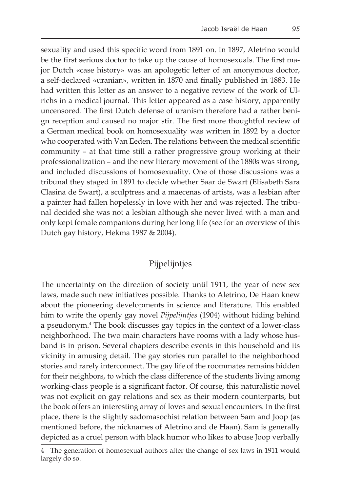sexuality and used this specific word from 1891 on. In 1897, Aletrino would be the first serious doctor to take up the cause of homosexuals. The first major Dutch «case history» was an apologetic letter of an anonymous doctor, a self-declared «uranian», written in 1870 and finally published in 1883. He had written this letter as an answer to a negative review of the work of Ulrichs in a medical journal. This letter appeared as a case history, apparently uncensored. The first Dutch defense of uranism therefore had a rather benign reception and caused no major stir. The first more thoughtful review of a German medical book on homosexuality was written in 1892 by a doctor who cooperated with Van Eeden. The relations between the medical scientific community – at that time still a rather progressive group working at their professionalization – and the new literary movement of the 1880s was strong, and included discussions of homosexuality. One of those discussions was a tribunal they staged in 1891 to decide whether Saar de Swart (Elisabeth Sara Clasina de Swart), a sculptress and a maecenas of artists, was a lesbian after a painter had fallen hopelessly in love with her and was rejected. The tribunal decided she was not a lesbian although she never lived with a man and only kept female companions during her long life (see for an overview of this Dutch gay history, Hekma 1987 & 2004).

## Pijpelijntjes

The uncertainty on the direction of society until 1911, the year of new sex laws, made such new initiatives possible. Thanks to Aletrino, De Haan knew about the pioneering developments in science and literature. This enabled him to write the openly gay novel *Pijpelijntjes* (1904) without hiding behind a pseudonym.4 The book discusses gay topics in the context of a lower-class neighborhood. The two main characters have rooms with a lady whose husband is in prison. Several chapters describe events in this household and its vicinity in amusing detail. The gay stories run parallel to the neighborhood stories and rarely interconnect. The gay life of the roommates remains hidden for their neighbors, to which the class difference of the students living among working-class people is a significant factor. Of course, this naturalistic novel was not explicit on gay relations and sex as their modern counterparts, but the book offers an interesting array of loves and sexual encounters. In the first place, there is the slightly sadomasochist relation between Sam and Joop (as mentioned before, the nicknames of Aletrino and de Haan). Sam is generally depicted as a cruel person with black humor who likes to abuse Joop verbally

<sup>4</sup> The generation of homosexual authors after the change of sex laws in 1911 would largely do so.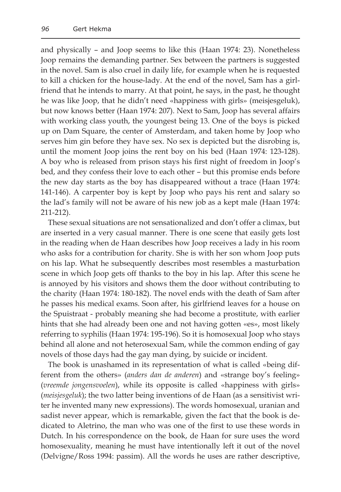and physically – and Joop seems to like this (Haan 1974: 23). Nonetheless Joop remains the demanding partner. Sex between the partners is suggested in the novel. Sam is also cruel in daily life, for example when he is requested to kill a chicken for the house-lady. At the end of the novel, Sam has a girlfriend that he intends to marry. At that point, he says, in the past, he thought he was like Joop, that he didn't need «happiness with girls» (meisjesgeluk), but now knows better (Haan 1974: 207). Next to Sam, Joop has several affairs with working class youth, the youngest being 13. One of the boys is picked up on Dam Square, the center of Amsterdam, and taken home by Joop who serves him gin before they have sex. No sex is depicted but the disrobing is, until the moment Joop joins the rent boy on his bed (Haan 1974: 123-128). A boy who is released from prison stays his first night of freedom in Joop's bed, and they confess their love to each other – but this promise ends before the new day starts as the boy has disappeared without a trace (Haan 1974: 141-146). A carpenter boy is kept by Joop who pays his rent and salary so the lad's family will not be aware of his new job as a kept male (Haan 1974: 211-212).

These sexual situations are not sensationalized and don't offer a climax, but are inserted in a very casual manner. There is one scene that easily gets lost in the reading when de Haan describes how Joop receives a lady in his room who asks for a contribution for charity. She is with her son whom Joop puts on his lap. What he subsequently describes most resembles a masturbation scene in which Joop gets off thanks to the boy in his lap. After this scene he is annoyed by his visitors and shows them the door without contributing to the charity (Haan 1974: 180-182). The novel ends with the death of Sam after he passes his medical exams. Soon after, his girlfriend leaves for a house on the Spuistraat - probably meaning she had become a prostitute, with earlier hints that she had already been one and not having gotten «es», most likely referring to syphilis (Haan 1974: 195-196). So it is homosexual Joop who stays behind all alone and not heterosexual Sam, while the common ending of gay novels of those days had the gay man dying, by suicide or incident.

The book is unashamed in its representation of what is called «being different from the others» (*anders dan de anderen*) and «strange boy's feeling» (*vreemde jongensvoelen*), while its opposite is called «happiness with girls» (*meisjesgeluk*); the two latter being inventions of de Haan (as a sensitivist writer he invented many new expressions). The words homosexual, uranian and sadist never appear, which is remarkable, given the fact that the book is dedicated to Aletrino, the man who was one of the first to use these words in Dutch. In his correspondence on the book, de Haan for sure uses the word homosexuality, meaning he must have intentionally left it out of the novel (Delvigne/Ross 1994: passim). All the words he uses are rather descriptive,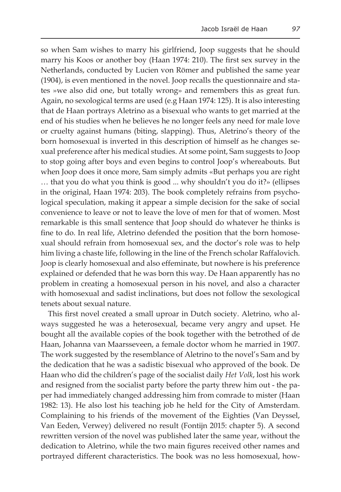so when Sam wishes to marry his girlfriend, Joop suggests that he should marry his Koos or another boy (Haan 1974: 210). The first sex survey in the Netherlands, conducted by Lucien von Römer and published the same year (1904), is even mentioned in the novel. Joop recalls the questionnaire and states »we also did one, but totally wrong» and remembers this as great fun. Again, no sexological terms are used (e.g Haan 1974: 125). It is also interesting that de Haan portrays Aletrino as a bisexual who wants to get married at the end of his studies when he believes he no longer feels any need for male love or cruelty against humans (biting, slapping). Thus, Aletrino's theory of the born homosexual is inverted in this description of himself as he changes sexual preference after his medical studies. At some point, Sam suggests to Joop to stop going after boys and even begins to control Joop's whereabouts. But when Joop does it once more, Sam simply admits «But perhaps you are right … that you do what you think is good ... why shouldn't you do it?» (ellipses in the original, Haan 1974: 203). The book completely refrains from psychological speculation, making it appear a simple decision for the sake of social convenience to leave or not to leave the love of men for that of women. Most remarkable is this small sentence that Joop should do whatever he thinks is fine to do. In real life, Aletrino defended the position that the born homosexual should refrain from homosexual sex, and the doctor's role was to help him living a chaste life, following in the line of the French scholar Raffalovich. Joop is clearly homosexual and also effeminate, but nowhere is his preference explained or defended that he was born this way. De Haan apparently has no problem in creating a homosexual person in his novel, and also a character with homosexual and sadist inclinations, but does not follow the sexological tenets about sexual nature.

This first novel created a small uproar in Dutch society. Aletrino, who always suggested he was a heterosexual, became very angry and upset. He bought all the available copies of the book together with the betrothed of de Haan, Johanna van Maarsseveen, a female doctor whom he married in 1907. The work suggested by the resemblance of Aletrino to the novel's Sam and by the dedication that he was a sadistic bisexual who approved of the book. De Haan who did the children's page of the socialist daily *Het Volk*, lost his work and resigned from the socialist party before the party threw him out - the paper had immediately changed addressing him from comrade to mister (Haan 1982: 13). He also lost his teaching job he held for the City of Amsterdam. Complaining to his friends of the movement of the Eighties (Van Deyssel, Van Eeden, Verwey) delivered no result (Fontijn 2015: chapter 5). A second rewritten version of the novel was published later the same year, without the dedication to Aletrino, while the two main figures received other names and portrayed different characteristics. The book was no less homosexual, how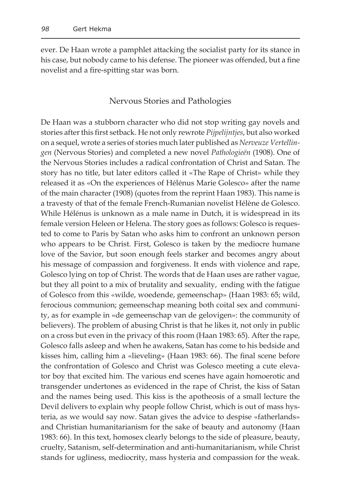ever. De Haan wrote a pamphlet attacking the socialist party for its stance in his case, but nobody came to his defense. The pioneer was offended, but a fine novelist and a fire-spitting star was born.

#### Nervous Stories and Pathologies

De Haan was a stubborn character who did not stop writing gay novels and stories after this first setback. He not only rewrote *Pijpelijntjes*, but also worked on a sequel, wrote a series of stories much later published as *Nerveuze Vertellingen* (Nervous Stories) and completed a new novel *Pathologieën* (1908). One of the Nervous Stories includes a radical confrontation of Christ and Satan. The story has no title, but later editors called it «The Rape of Christ» while they released it as «On the experiences of Hélénus Marie Golesco» after the name of the main character (1908) (quotes from the reprint Haan 1983). This name is a travesty of that of the female French-Rumanian novelist Hélène de Golesco. While Hélénus is unknown as a male name in Dutch, it is widespread in its female version Heleen or Helena. The story goes as follows: Golesco is requested to come to Paris by Satan who asks him to confront an unknown person who appears to be Christ. First, Golesco is taken by the mediocre humane love of the Savior, but soon enough feels starker and becomes angry about his message of compassion and forgiveness. It ends with violence and rape, Golesco lying on top of Christ. The words that de Haan uses are rather vague, but they all point to a mix of brutality and sexuality, ending with the fatigue of Golesco from this «wilde, woedende, gemeenschap» (Haan 1983: 65; wild, ferocious communion; gemeenschap meaning both coital sex and community, as for example in «de gemeenschap van de gelovigen»: the community of believers). The problem of abusing Christ is that he likes it, not only in public on a cross but even in the privacy of this room (Haan 1983: 65). After the rape, Golesco falls asleep and when he awakens, Satan has come to his bedside and kisses him, calling him a «lieveling» (Haan 1983: 66). The final scene before the confrontation of Golesco and Christ was Golesco meeting a cute elevator boy that excited him. The various end scenes have again homoerotic and transgender undertones as evidenced in the rape of Christ, the kiss of Satan and the names being used. This kiss is the apotheosis of a small lecture the Devil delivers to explain why people follow Christ, which is out of mass hysteria, as we would say now. Satan gives the advice to despise «fatherlands» and Christian humanitarianism for the sake of beauty and autonomy (Haan 1983: 66). In this text, homosex clearly belongs to the side of pleasure, beauty, cruelty, Satanism, self-determination and anti-humanitarianism, while Christ stands for ugliness, mediocrity, mass hysteria and compassion for the weak.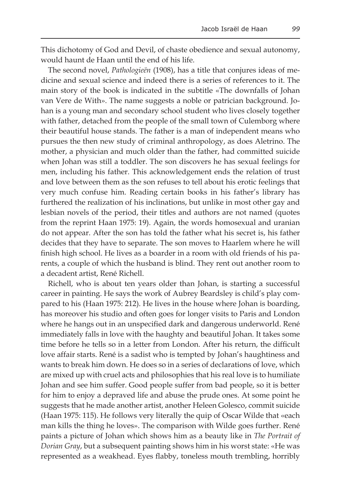This dichotomy of God and Devil, of chaste obedience and sexual autonomy, would haunt de Haan until the end of his life.

The second novel, *Pathologieën* (1908), has a title that conjures ideas of medicine and sexual science and indeed there is a series of references to it. The main story of the book is indicated in the subtitle «The downfalls of Johan van Vere de With». The name suggests a noble or patrician background. Johan is a young man and secondary school student who lives closely together with father, detached from the people of the small town of Culemborg where their beautiful house stands. The father is a man of independent means who pursues the then new study of criminal anthropology, as does Aletrino. The mother, a physician and much older than the father, had committed suicide when Johan was still a toddler. The son discovers he has sexual feelings for men, including his father. This acknowledgement ends the relation of trust and love between them as the son refuses to tell about his erotic feelings that very much confuse him. Reading certain books in his father's library has furthered the realization of his inclinations, but unlike in most other gay and lesbian novels of the period, their titles and authors are not named (quotes from the reprint Haan 1975: 19). Again, the words homosexual and uranian do not appear. After the son has told the father what his secret is, his father decides that they have to separate. The son moves to Haarlem where he will finish high school. He lives as a boarder in a room with old friends of his parents, a couple of which the husband is blind. They rent out another room to a decadent artist, René Richell.

Richell, who is about ten years older than Johan, is starting a successful career in painting. He says the work of Aubrey Beardsley is child's play compared to his (Haan 1975: 212). He lives in the house where Johan is boarding, has moreover his studio and often goes for longer visits to Paris and London where he hangs out in an unspecified dark and dangerous underworld. René immediately falls in love with the haughty and beautiful Johan. It takes some time before he tells so in a letter from London. After his return, the difficult love affair starts. René is a sadist who is tempted by Johan's haughtiness and wants to break him down. He does so in a series of declarations of love, which are mixed up with cruel acts and philosophies that his real love is to humiliate Johan and see him suffer. Good people suffer from bad people, so it is better for him to enjoy a depraved life and abuse the prude ones. At some point he suggests that he made another artist, another Heleen Golesco, commit suicide (Haan 1975: 115). He follows very literally the quip of Oscar Wilde that «each man kills the thing he loves». The comparison with Wilde goes further. René paints a picture of Johan which shows him as a beauty like in *The Portrait of Dorian Gray*, but a subsequent painting shows him in his worst state: «He was represented as a weakhead. Eyes flabby, toneless mouth trembling, horribly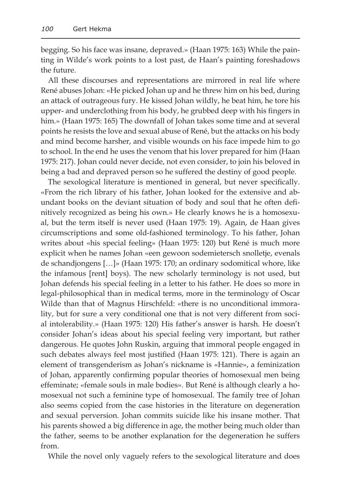begging. So his face was insane, depraved.» (Haan 1975: 163) While the painting in Wilde's work points to a lost past, de Haan's painting foreshadows the future.

All these discourses and representations are mirrored in real life where René abuses Johan: «He picked Johan up and he threw him on his bed, during an attack of outrageous fury. He kissed Johan wildly, he beat him, he tore his upper- and underclothing from his body, he grubbed deep with his fingers in him.» (Haan 1975: 165) The downfall of Johan takes some time and at several points he resists the love and sexual abuse of René, but the attacks on his body and mind become harsher, and visible wounds on his face impede him to go to school. In the end he uses the venom that his lover prepared for him (Haan 1975: 217). Johan could never decide, not even consider, to join his beloved in being a bad and depraved person so he suffered the destiny of good people.

The sexological literature is mentioned in general, but never specifically. «From the rich library of his father, Johan looked for the extensive and abundant books on the deviant situation of body and soul that he often definitively recognized as being his own.» He clearly knows he is a homosexual, but the term itself is never used (Haan 1975: 19). Again, de Haan gives circumscriptions and some old-fashioned terminology. To his father, Johan writes about «his special feeling» (Haan 1975: 120) but René is much more explicit when he names Johan «een gewoon sodemietersch snolletje, evenals de schandjongens […]» (Haan 1975: 170; an ordinary sodomitical whore, like the infamous [rent] boys). The new scholarly terminology is not used, but Johan defends his special feeling in a letter to his father. He does so more in legal-philosophical than in medical terms, more in the terminology of Oscar Wilde than that of Magnus Hirschfeld: «there is no unconditional immorality, but for sure a very conditional one that is not very different from social intolerability.» (Haan 1975: 120) His father's answer is harsh. He doesn't consider Johan's ideas about his special feeling very important, but rather dangerous. He quotes John Ruskin, arguing that immoral people engaged in such debates always feel most justified (Haan 1975: 121). There is again an element of transgenderism as Johan's nickname is «Hannie», a feminization of Johan, apparently confirming popular theories of homosexual men being effeminate; «female souls in male bodies». But René is although clearly a homosexual not such a feminine type of homosexual. The family tree of Johan also seems copied from the case histories in the literature on degeneration and sexual perversion. Johan commits suicide like his insane mother. That his parents showed a big difference in age, the mother being much older than the father, seems to be another explanation for the degeneration he suffers from.

While the novel only vaguely refers to the sexological literature and does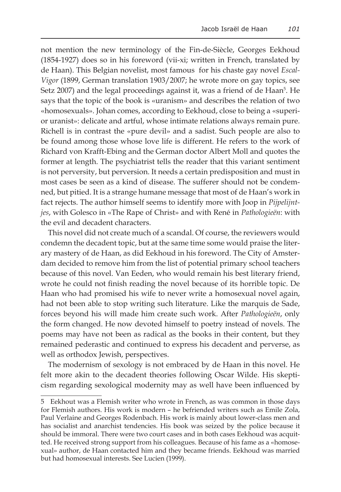not mention the new terminology of the Fin-de-Siècle, Georges Eekhoud (1854-1927) does so in his foreword (vii-xi; written in French, translated by de Haan). This Belgian novelist, most famous for his chaste gay novel *Escal-Vigor* (1899, German translation 1903/2007; he wrote more on gay topics, see Setz 2007) and the legal proceedings against it, was a friend of de Haan<sup>s</sup>. He says that the topic of the book is «uranism» and describes the relation of two «homosexuals». Johan comes, according to Eekhoud, close to being a «superior uranist»: delicate and artful, whose intimate relations always remain pure. Richell is in contrast the «pure devil» and a sadist. Such people are also to be found among those whose love life is different. He refers to the work of Richard von Krafft-Ebing and the German doctor Albert Moll and quotes the former at length. The psychiatrist tells the reader that this variant sentiment is not perversity, but perversion. It needs a certain predisposition and must in most cases be seen as a kind of disease. The sufferer should not be condemned, but pitied. It is a strange humane message that most of de Haan's work in fact rejects. The author himself seems to identify more with Joop in *Pijpelijntjes*, with Golesco in «The Rape of Christ» and with René in *Pathologieën*: with the evil and decadent characters.

This novel did not create much of a scandal. Of course, the reviewers would condemn the decadent topic, but at the same time some would praise the literary mastery of de Haan, as did Eekhoud in his foreword. The City of Amsterdam decided to remove him from the list of potential primary school teachers because of this novel. Van Eeden, who would remain his best literary friend, wrote he could not finish reading the novel because of its horrible topic. De Haan who had promised his wife to never write a homosexual novel again, had not been able to stop writing such literature. Like the marquis de Sade, forces beyond his will made him create such work. After *Pathologieën*, only the form changed. He now devoted himself to poetry instead of novels. The poems may have not been as radical as the books in their content, but they remained pederastic and continued to express his decadent and perverse, as well as orthodox Jewish, perspectives.

The modernism of sexology is not embraced by de Haan in this novel. He felt more akin to the decadent theories following Oscar Wilde. His skepticism regarding sexological modernity may as well have been influenced by

<sup>5</sup> Eekhout was a Flemish writer who wrote in French, as was common in those days for Flemish authors. His work is modern – he befriended writers such as Emile Zola, Paul Verlaine and Georges Rodenbach. His work is mainly about lower-class men and has socialist and anarchist tendencies. His book was seized by the police because it should be immoral. There were two court cases and in both cases Eekhoud was acquitted. He received strong support from his colleagues. Because of his fame as a «homosexual» author, de Haan contacted him and they became friends. Eekhoud was married but had homosexual interests. See Lucien (1999).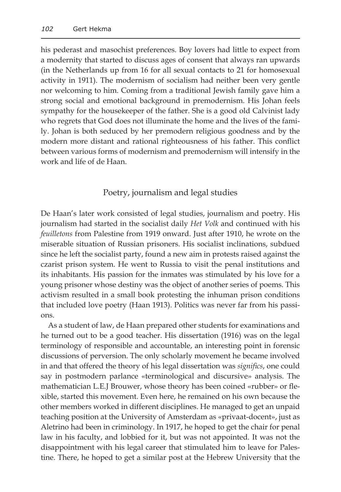his pederast and masochist preferences. Boy lovers had little to expect from a modernity that started to discuss ages of consent that always ran upwards (in the Netherlands up from 16 for all sexual contacts to 21 for homosexual activity in 1911). The modernism of socialism had neither been very gentle nor welcoming to him. Coming from a traditional Jewish family gave him a strong social and emotional background in premodernism. His Johan feels sympathy for the housekeeper of the father. She is a good old Calvinist lady who regrets that God does not illuminate the home and the lives of the family. Johan is both seduced by her premodern religious goodness and by the modern more distant and rational righteousness of his father. This conflict between various forms of modernism and premodernism will intensify in the work and life of de Haan.

### Poetry, journalism and legal studies

De Haan's later work consisted of legal studies, journalism and poetry. His journalism had started in the socialist daily *Het Volk* and continued with his *feuilletons* from Palestine from 1919 onward. Just after 1910, he wrote on the miserable situation of Russian prisoners. His socialist inclinations, subdued since he left the socialist party, found a new aim in protests raised against the czarist prison system. He went to Russia to visit the penal institutions and its inhabitants. His passion for the inmates was stimulated by his love for a young prisoner whose destiny was the object of another series of poems. This activism resulted in a small book protesting the inhuman prison conditions that included love poetry (Haan 1913). Politics was never far from his passions.

As a student of law, de Haan prepared other students for examinations and he turned out to be a good teacher. His dissertation (1916) was on the legal terminology of responsible and accountable, an interesting point in forensic discussions of perversion. The only scholarly movement he became involved in and that offered the theory of his legal dissertation was *significs*, one could say in postmodern parlance «terminological and discursive» analysis. The mathematician L.E.J Brouwer, whose theory has been coined «rubber» or flexible, started this movement. Even here, he remained on his own because the other members worked in different disciplines. He managed to get an unpaid teaching position at the University of Amsterdam as «privaat-docent», just as Aletrino had been in criminology. In 1917, he hoped to get the chair for penal law in his faculty, and lobbied for it, but was not appointed. It was not the disappointment with his legal career that stimulated him to leave for Palestine. There, he hoped to get a similar post at the Hebrew University that the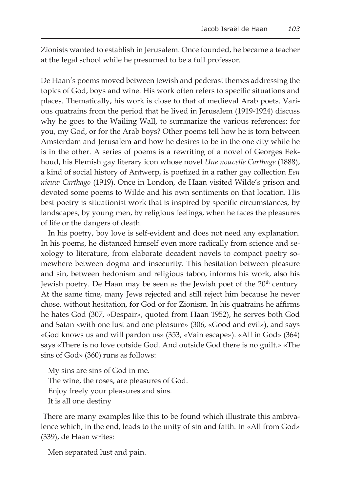Zionists wanted to establish in Jerusalem. Once founded, he became a teacher at the legal school while he presumed to be a full professor.

De Haan's poems moved between Jewish and pederast themes addressing the topics of God, boys and wine. His work often refers to specific situations and places. Thematically, his work is close to that of medieval Arab poets. Various quatrains from the period that he lived in Jerusalem (1919-1924) discuss why he goes to the Wailing Wall, to summarize the various references: for you, my God, or for the Arab boys? Other poems tell how he is torn between Amsterdam and Jerusalem and how he desires to be in the one city while he is in the other. A series of poems is a rewriting of a novel of Georges Eekhoud, his Flemish gay literary icon whose novel *Une nouvelle Carthage* (1888), a kind of social history of Antwerp, is poetized in a rather gay collection *Een nieuw Carthago* (1919). Once in London, de Haan visited Wilde's prison and devoted some poems to Wilde and his own sentiments on that location. His best poetry is situationist work that is inspired by specific circumstances, by landscapes, by young men, by religious feelings, when he faces the pleasures of life or the dangers of death.

In his poetry, boy love is self-evident and does not need any explanation. In his poems, he distanced himself even more radically from science and sexology to literature, from elaborate decadent novels to compact poetry somewhere between dogma and insecurity. This hesitation between pleasure and sin, between hedonism and religious taboo, informs his work, also his Jewish poetry. De Haan may be seen as the Jewish poet of the  $20<sup>th</sup>$  century. At the same time, many Jews rejected and still reject him because he never chose, without hesitation, for God or for Zionism. In his quatrains he affirms he hates God (307, «Despair», quoted from Haan 1952), he serves both God and Satan «with one lust and one pleasure» (306, «Good and evil»), and says «God knows us and will pardon us» (353, «Vain escape»). «All in God» (364) says «There is no love outside God. And outside God there is no guilt.» «The sins of God» (360) runs as follows:

My sins are sins of God in me. The wine, the roses, are pleasures of God. Enjoy freely your pleasures and sins. It is all one destiny

 There are many examples like this to be found which illustrate this ambivalence which, in the end, leads to the unity of sin and faith. In «All from God» (339), de Haan writes:

Men separated lust and pain.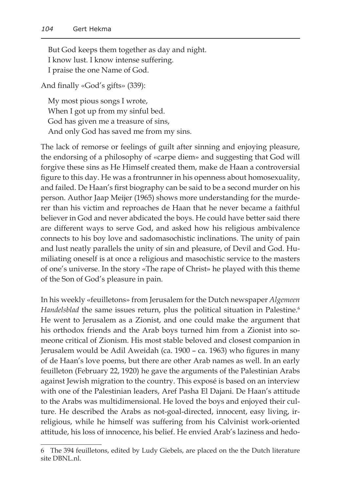But God keeps them together as day and night. I know lust. I know intense suffering. I praise the one Name of God.

And finally «God's gifts» (339):

My most pious songs I wrote, When I got up from my sinful bed. God has given me a treasure of sins, And only God has saved me from my sins.

The lack of remorse or feelings of guilt after sinning and enjoying pleasure, the endorsing of a philosophy of «carpe diem» and suggesting that God will forgive these sins as He Himself created them, make de Haan a controversial figure to this day. He was a frontrunner in his openness about homosexuality, and failed. De Haan's first biography can be said to be a second murder on his person. Author Jaap Meijer (1965) shows more understanding for the murderer than his victim and reproaches de Haan that he never became a faithful believer in God and never abdicated the boys. He could have better said there are different ways to serve God, and asked how his religious ambivalence connects to his boy love and sadomasochistic inclinations. The unity of pain and lust neatly parallels the unity of sin and pleasure, of Devil and God. Humiliating oneself is at once a religious and masochistic service to the masters of one's universe. In the story «The rape of Christ» he played with this theme of the Son of God's pleasure in pain.

In his weekly «feuilletons» from Jerusalem for the Dutch newspaper *Algemeen*  Handelsblad the same issues return, plus the political situation in Palestine.<sup>6</sup> He went to Jerusalem as a Zionist, and one could make the argument that his orthodox friends and the Arab boys turned him from a Zionist into someone critical of Zionism. His most stable beloved and closest companion in Jerusalem would be Adil Aweidah (ca. 1900 – ca. 1963) who figures in many of de Haan's love poems, but there are other Arab names as well. In an early feuilleton (February 22, 1920) he gave the arguments of the Palestinian Arabs against Jewish migration to the country. This exposé is based on an interview with one of the Palestinian leaders, Aref Pasha El Dajani. De Haan's attitude to the Arabs was multidimensional. He loved the boys and enjoyed their culture. He described the Arabs as not-goal-directed, innocent, easy living, irreligious, while he himself was suffering from his Calvinist work-oriented attitude, his loss of innocence, his belief. He envied Arab's laziness and hedo-

<sup>6</sup> The 394 feuilletons, edited by Ludy Giebels, are placed on the the Dutch literature site DBNL.nl.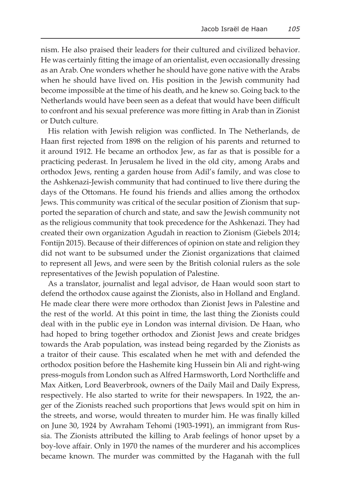nism. He also praised their leaders for their cultured and civilized behavior. He was certainly fitting the image of an orientalist, even occasionally dressing as an Arab. One wonders whether he should have gone native with the Arabs when he should have lived on. His position in the Jewish community had become impossible at the time of his death, and he knew so. Going back to the Netherlands would have been seen as a defeat that would have been difficult to confront and his sexual preference was more fitting in Arab than in Zionist or Dutch culture.

His relation with Jewish religion was conflicted. In The Netherlands, de Haan first rejected from 1898 on the religion of his parents and returned to it around 1912. He became an orthodox Jew, as far as that is possible for a practicing pederast. In Jerusalem he lived in the old city, among Arabs and orthodox Jews, renting a garden house from Adil's family, and was close to the Ashkenazi-Jewish community that had continued to live there during the days of the Ottomans. He found his friends and allies among the orthodox Jews. This community was critical of the secular position of Zionism that supported the separation of church and state, and saw the Jewish community not as the religious community that took precedence for the Ashkenazi. They had created their own organization Agudah in reaction to Zionism (Giebels 2014; Fontijn 2015). Because of their differences of opinion on state and religion they did not want to be subsumed under the Zionist organizations that claimed to represent all Jews, and were seen by the British colonial rulers as the sole representatives of the Jewish population of Palestine.

As a translator, journalist and legal advisor, de Haan would soon start to defend the orthodox cause against the Zionists, also in Holland and England. He made clear there were more orthodox than Zionist Jews in Palestine and the rest of the world. At this point in time, the last thing the Zionists could deal with in the public eye in London was internal division. De Haan, who had hoped to bring together orthodox and Zionist Jews and create bridges towards the Arab population, was instead being regarded by the Zionists as a traitor of their cause. This escalated when he met with and defended the orthodox position before the Hashemite king Hussein bin Ali and right-wing press-moguls from London such as Alfred Harmsworth, Lord Northcliffe and Max Aitken, Lord Beaverbrook, owners of the Daily Mail and Daily Express, respectively. He also started to write for their newspapers. In 1922, the anger of the Zionists reached such proportions that Jews would spit on him in the streets, and worse, would threaten to murder him. He was finally killed on June 30, 1924 by Awraham Tehomi (1903-1991), an immigrant from Russia. The Zionists attributed the killing to Arab feelings of honor upset by a boy-love affair. Only in 1970 the names of the murderer and his accomplices became known. The murder was committed by the Haganah with the full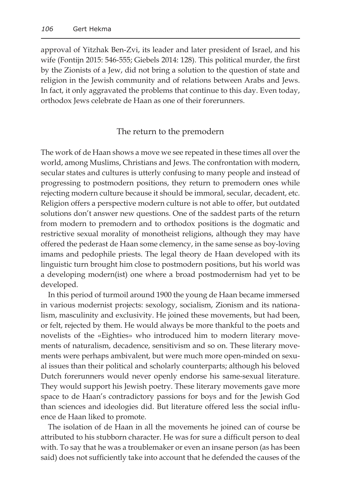approval of Yitzhak Ben-Zvi, its leader and later president of Israel, and his wife (Fontijn 2015: 546-555; Giebels 2014: 128). This political murder, the first by the Zionists of a Jew, did not bring a solution to the question of state and religion in the Jewish community and of relations between Arabs and Jews. In fact, it only aggravated the problems that continue to this day. Even today, orthodox Jews celebrate de Haan as one of their forerunners.

#### The return to the premodern

The work of de Haan shows a move we see repeated in these times all over the world, among Muslims, Christians and Jews. The confrontation with modern, secular states and cultures is utterly confusing to many people and instead of progressing to postmodern positions, they return to premodern ones while rejecting modern culture because it should be immoral, secular, decadent, etc. Religion offers a perspective modern culture is not able to offer, but outdated solutions don't answer new questions. One of the saddest parts of the return from modern to premodern and to orthodox positions is the dogmatic and restrictive sexual morality of monotheist religions, although they may have offered the pederast de Haan some clemency, in the same sense as boy-loving imams and pedophile priests. The legal theory de Haan developed with its linguistic turn brought him close to postmodern positions, but his world was a developing modern(ist) one where a broad postmodernism had yet to be developed.

In this period of turmoil around 1900 the young de Haan became immersed in various modernist projects: sexology, socialism, Zionism and its nationalism, masculinity and exclusivity. He joined these movements, but had been, or felt, rejected by them. He would always be more thankful to the poets and novelists of the «Eighties» who introduced him to modern literary movements of naturalism, decadence, sensitivism and so on. These literary movements were perhaps ambivalent, but were much more open-minded on sexual issues than their political and scholarly counterparts; although his beloved Dutch forerunners would never openly endorse his same-sexual literature. They would support his Jewish poetry. These literary movements gave more space to de Haan's contradictory passions for boys and for the Jewish God than sciences and ideologies did. But literature offered less the social influence de Haan liked to promote.

The isolation of de Haan in all the movements he joined can of course be attributed to his stubborn character. He was for sure a difficult person to deal with. To say that he was a troublemaker or even an insane person (as has been said) does not sufficiently take into account that he defended the causes of the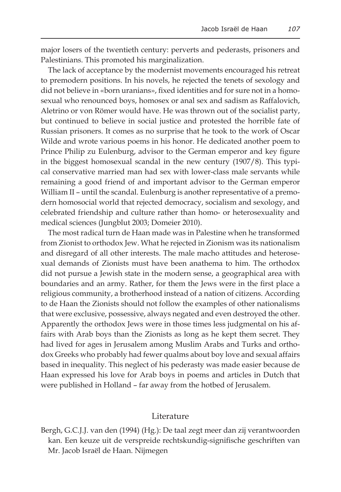major losers of the twentieth century: perverts and pederasts, prisoners and Palestinians. This promoted his marginalization.

The lack of acceptance by the modernist movements encouraged his retreat to premodern positions. In his novels, he rejected the tenets of sexology and did not believe in «born uranians», fixed identities and for sure not in a homosexual who renounced boys, homosex or anal sex and sadism as Raffalovich, Aletrino or von Römer would have. He was thrown out of the socialist party, but continued to believe in social justice and protested the horrible fate of Russian prisoners. It comes as no surprise that he took to the work of Oscar Wilde and wrote various poems in his honor. He dedicated another poem to Prince Philip zu Eulenburg, advisor to the German emperor and key figure in the biggest homosexual scandal in the new century (1907/8). This typical conservative married man had sex with lower-class male servants while remaining a good friend of and important advisor to the German emperor William II – until the scandal. Eulenburg is another representative of a premodern homosocial world that rejected democracy, socialism and sexology, and celebrated friendship and culture rather than homo- or heterosexuality and medical sciences (Jungblut 2003; Domeier 2010).

The most radical turn de Haan made was in Palestine when he transformed from Zionist to orthodox Jew. What he rejected in Zionism was its nationalism and disregard of all other interests. The male macho attitudes and heterosexual demands of Zionists must have been anathema to him. The orthodox did not pursue a Jewish state in the modern sense, a geographical area with boundaries and an army. Rather, for them the Jews were in the first place a religious community, a brotherhood instead of a nation of citizens. According to de Haan the Zionists should not follow the examples of other nationalisms that were exclusive, possessive, always negated and even destroyed the other. Apparently the orthodox Jews were in those times less judgmental on his affairs with Arab boys than the Zionists as long as he kept them secret. They had lived for ages in Jerusalem among Muslim Arabs and Turks and orthodox Greeks who probably had fewer qualms about boy love and sexual affairs based in inequality. This neglect of his pederasty was made easier because de Haan expressed his love for Arab boys in poems and articles in Dutch that were published in Holland – far away from the hotbed of Jerusalem.

#### Literature

Bergh, G.C.J.J. van den (1994) (Hg.): De taal zegt meer dan zij verantwoorden kan. Een keuze uit de verspreide rechtskundig-signifische geschriften van Mr. Jacob Israël de Haan. Nijmegen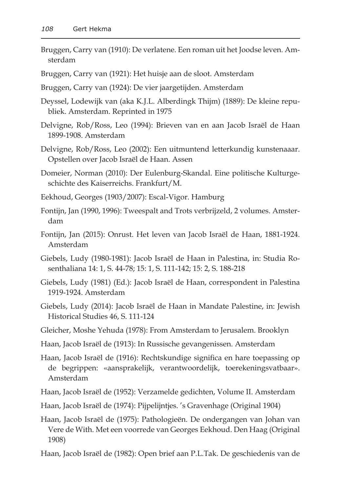- Bruggen, Carry van (1910): De verlatene. Een roman uit het Joodse leven. Amsterdam
- Bruggen, Carry van (1921): Het huisje aan de sloot. Amsterdam
- Bruggen, Carry van (1924): De vier jaargetijden. Amsterdam
- Deyssel, Lodewijk van (aka K.J.L. Alberdingk Thijm) (1889): De kleine republiek. Amsterdam. Reprinted in 1975
- Delvigne, Rob/Ross, Leo (1994): Brieven van en aan Jacob Israël de Haan 1899-1908. Amsterdam
- Delvigne, Rob/Ross, Leo (2002): Een uitmuntend letterkundig kunstenaaar. Opstellen over Jacob Israël de Haan. Assen
- Domeier, Norman (2010): Der Eulenburg-Skandal. Eine politische Kulturgeschichte des Kaiserreichs. Frankfurt/M.
- Eekhoud, Georges (1903/2007): Escal-Vigor. Hamburg
- Fontijn, Jan (1990, 1996): Tweespalt and Trots verbrijzeld, 2 volumes. Amsterdam
- Fontijn, Jan (2015): Onrust. Het leven van Jacob Israël de Haan, 1881-1924. Amsterdam
- Giebels, Ludy (1980-1981): Jacob Israël de Haan in Palestina, in: Studia Rosenthaliana 14: 1, S. 44-78; 15: 1, S. 111-142; 15: 2, S. 188-218
- Giebels, Ludy (1981) (Ed.): Jacob Israël de Haan, correspondent in Palestina 1919-1924. Amsterdam
- Giebels, Ludy (2014): Jacob Israël de Haan in Mandate Palestine, in: Jewish Historical Studies 46, S. 111-124
- Gleicher, Moshe Yehuda (1978): From Amsterdam to Jerusalem. Brooklyn
- Haan, Jacob Israël de (1913): In Russische gevangenissen. Amsterdam
- Haan, Jacob Israël de (1916): Rechtskundige significa en hare toepassing op de begrippen: «aansprakelijk, verantwoordelijk, toerekeningsvatbaar». Amsterdam
- Haan, Jacob Israël de (1952): Verzamelde gedichten, Volume II. Amsterdam
- Haan, Jacob Israël de (1974): Pijpelijntjes. 's Gravenhage (Original 1904)
- Haan, Jacob Israël de (1975): Pathologieën. De ondergangen van Johan van Vere de With. Met een voorrede van Georges Eekhoud. Den Haag (Original 1908)
- Haan, Jacob Israël de (1982): Open brief aan P.L.Tak. De geschiedenis van de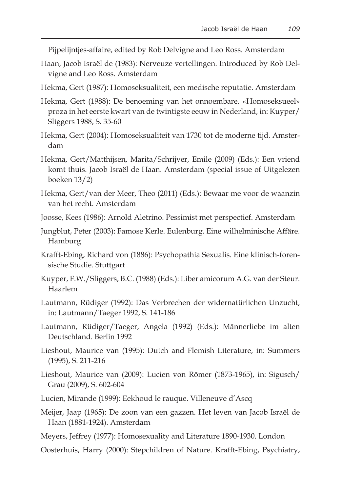Pijpelijntjes-affaire, edited by Rob Delvigne and Leo Ross. Amsterdam

- Haan, Jacob Israël de (1983): Nerveuze vertellingen. Introduced by Rob Delvigne and Leo Ross. Amsterdam
- Hekma, Gert (1987): Homoseksualiteit, een medische reputatie. Amsterdam
- Hekma, Gert (1988): De benoeming van het onnoembare. «Homoseksueel» proza in het eerste kwart van de twintigste eeuw in Nederland, in: Kuyper/ Sliggers 1988, S. 35-60
- Hekma, Gert (2004): Homoseksualiteit van 1730 tot de moderne tijd. Amsterdam
- Hekma, Gert/Matthijsen, Marita/Schrijver, Emile (2009) (Eds.): Een vriend komt thuis. Jacob Israël de Haan. Amsterdam (special issue of Uitgelezen boeken 13/2)
- Hekma, Gert/van der Meer, Theo (2011) (Eds.): Bewaar me voor de waanzin van het recht. Amsterdam
- Joosse, Kees (1986): Arnold Aletrino. Pessimist met perspectief. Amsterdam
- Jungblut, Peter (2003): Famose Kerle. Eulenburg. Eine wilhelminische Affäre. Hamburg
- Krafft-Ebing, Richard von (1886): Psychopathia Sexualis. Eine klinisch-forensische Studie. Stuttgart
- Kuyper, F.W./Sliggers, B.C. (1988) (Eds.): Liber amicorum A.G. van der Steur. Haarlem
- Lautmann, Rüdiger (1992): Das Verbrechen der widernatürlichen Unzucht, in: Lautmann/Taeger 1992, S. 141-186
- Lautmann, Rüdiger/Taeger, Angela (1992) (Eds.): Männerliebe im alten Deutschland. Berlin 1992
- Lieshout, Maurice van (1995): Dutch and Flemish Literature, in: Summers (1995), S. 211-216
- Lieshout, Maurice van (2009): Lucien von Römer (1873-1965), in: Sigusch/ Grau (2009), S. 602-604
- Lucien, Mirande (1999): Eekhoud le rauque. Villeneuve d'Ascq
- Meijer, Jaap (1965): De zoon van een gazzen. Het leven van Jacob Israël de Haan (1881-1924). Amsterdam
- Meyers, Jeffrey (1977): Homosexuality and Literature 1890-1930. London
- Oosterhuis, Harry (2000): Stepchildren of Nature. Krafft-Ebing, Psychiatry,